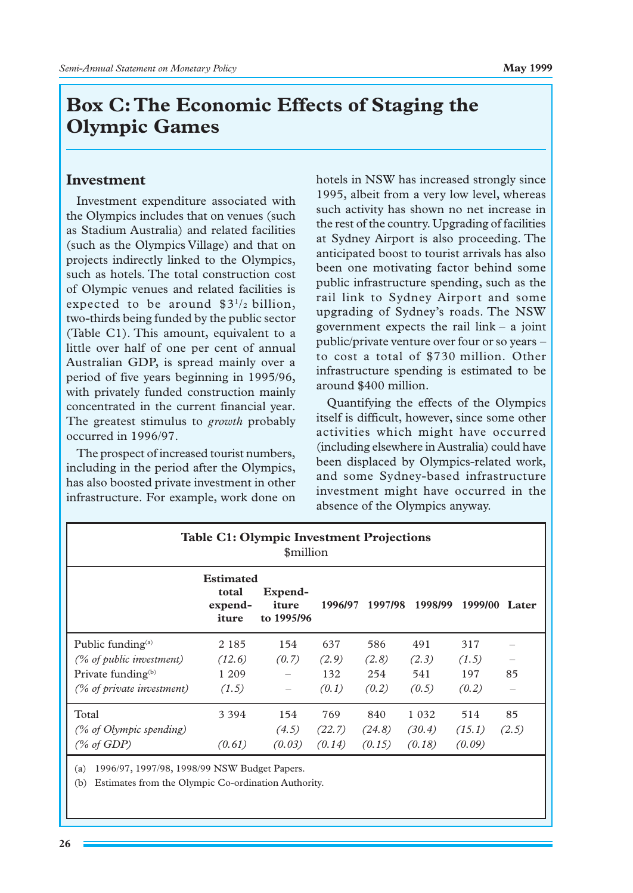# **Box␣ C: The Economic Effects of Staging the Olympic Games**

## **Investment**

Investment expenditure associated with the Olympics includes that on venues (such as Stadium Australia) and related facilities (such as the Olympics Village) and that on projects indirectly linked to the Olympics, such as hotels. The total construction cost of Olympic venues and related facilities is expected to be around  $$3<sup>1</sup>/2$  billion, two-thirds being funded by the public sector (Table C1). This amount, equivalent to a little over half of one per cent of annual Australian GDP, is spread mainly over a period of five years beginning in 1995/96, with privately funded construction mainly concentrated in the current financial year. The greatest stimulus to *growth* probably occurred in 1996/97.

The prospect of increased tourist numbers, including in the period after the Olympics, has also boosted private investment in other infrastructure. For example, work done on hotels in NSW has increased strongly since 1995, albeit from a very low level, whereas such activity has shown no net increase in the rest of the country. Upgrading of facilities at Sydney Airport is also proceeding. The anticipated boost to tourist arrivals has also been one motivating factor behind some public infrastructure spending, such as the rail link to Sydney Airport and some upgrading of Sydney's roads. The NSW government expects the rail link  $-$  a joint public/private venture over four or so years␣ – to cost a total of \$730␣ million. Other infrastructure spending is estimated to be around \$400␣ million.

Quantifying the effects of the Olympics itself is difficult, however, since some other activities which might have occurred (including elsewhere in Australia) could have been displaced by Olympics-related work, and some Sydney-based infrastructure investment might have occurred in the absence of the Olympics anyway.

| <b>Table C1: Olympic Investment Projections</b><br><i><b>Smillion</b></i> |                                               |                                |         |         |         |         |       |
|---------------------------------------------------------------------------|-----------------------------------------------|--------------------------------|---------|---------|---------|---------|-------|
|                                                                           | <b>Estimated</b><br>total<br>expend-<br>iture | Expend-<br>iture<br>to 1995/96 | 1996/97 | 1997/98 | 1998/99 | 1999/00 | Later |
| Public funding $^{(a)}$                                                   | 2 1 8 5                                       | 154                            | 637     | 586     | 491     | 317     |       |
| (% of public investment)                                                  | (12.6)                                        | (0.7)                          | (2.9)   | (2.8)   | (2.3)   | (1.5)   |       |
| Private funding <sup>(b)</sup>                                            | 1 209                                         |                                | 132     | 254     | 541     | 197     | 85    |
| (% of private investment)                                                 | (1.5)                                         | -                              | (0.1)   | (0.2)   | (0.5)   | (0,2)   |       |
| Total                                                                     | 3 3 9 4                                       | 154                            | 769     | 840     | 1 0 3 2 | 514     | 85    |
| (% of Olympic spending)                                                   |                                               | (4.5)                          | (22.7)  | (24.8)  | (30.4)  | (15.1)  | (2.5) |
| (% of GDP)                                                                | (0.61)                                        | (0.03)                         | (0.14)  | (0.15)  | (0.18)  | (0.09)  |       |

(a) 1996/97, 1997/98, 1998/99 NSW Budget Papers.

(b) Estimates from the Olympic Co-ordination Authority.